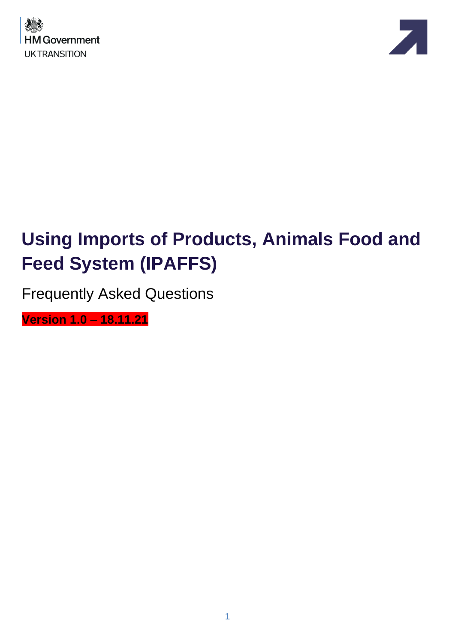



# **Using Imports of Products, Animals Food and Feed System (IPAFFS)**

Frequently Asked Questions

**Version 1.0 – 18.11.21**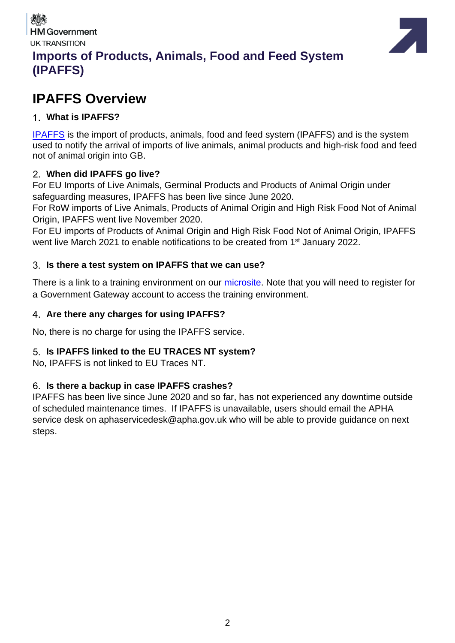



### **Imports of Products, Animals, Food and Feed System (IPAFFS)**

### **IPAFFS Overview**

#### **What is IPAFFS?**

[IPAFFS](https://www.gov.uk/guidance/import-of-products-animals-food-and-feed-system) is the import of products, animals, food and feed system (IPAFFS) and is the system used to notify the arrival of imports of live animals, animal products and high-risk food and feed not of animal origin into GB.

#### **When did IPAFFS go live?**

For EU Imports of Live Animals, Germinal Products and Products of Animal Origin under safeguarding measures, IPAFFS has been live since June 2020.

For RoW imports of Live Animals, Products of Animal Origin and High Risk Food Not of Animal Origin, IPAFFS went live November 2020.

For EU imports of Products of Animal Origin and High Risk Food Not of Animal Origin, IPAFFS went live March 2021 to enable notifications to be created from 1<sup>st</sup> January 2022.

#### **Is there a test system on IPAFFS that we can use?**

There is a link to a training environment on our [microsite.](https://www.dropbox.com/scl/fi/nkg4nltxghurtqp9oncp3/Moving-Goods-from-the-European-Union-into-Great-Britain.-New-Requirements-from-October-2021.paper?dl=0&rlkey=xe77te92f6adbnez96b4h26s8) Note that you will need to register for a Government Gateway account to access the training environment.

#### **Are there any charges for using IPAFFS?**

No, there is no charge for using the IPAFFS service.

#### **Is IPAFFS linked to the EU TRACES NT system?**

No, IPAFFS is not linked to EU Traces NT.

#### **Is there a backup in case IPAFFS crashes?**

IPAFFS has been live since June 2020 and so far, has not experienced any downtime outside of scheduled maintenance times. If IPAFFS is unavailable, users should email the APHA service desk on aphaservicedesk@apha.gov.uk who will be able to provide guidance on next steps.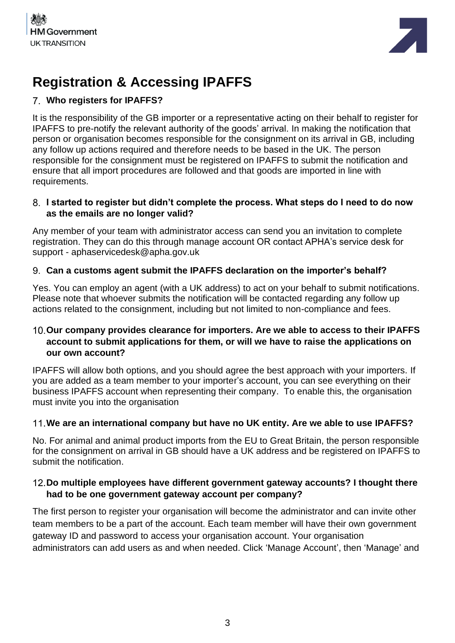



### **Registration & Accessing IPAFFS**

#### **Who registers for IPAFFS?**

It is the responsibility of the GB importer or a representative acting on their behalf to register for IPAFFS to pre-notify the relevant authority of the goods' arrival. In making the notification that person or organisation becomes responsible for the consignment on its arrival in GB, including any follow up actions required and therefore needs to be based in the UK. The person responsible for the consignment must be registered on IPAFFS to submit the notification and ensure that all import procedures are followed and that goods are imported in line with requirements.

#### **I started to register but didn't complete the process. What steps do I need to do now as the emails are no longer valid?**

Any member of your team with administrator access can send you an invitation to complete registration. They can do this through manage account OR contact APHA's service desk for support - aphaservicedesk@apha.gov.uk

#### **Can a customs agent submit the IPAFFS declaration on the importer's behalf?**

Yes. You can employ an agent (with a UK address) to act on your behalf to submit notifications. Please note that whoever submits the notification will be contacted regarding any follow up actions related to the consignment, including but not limited to non-compliance and fees.

#### **Our company provides clearance for importers. Are we able to access to their IPAFFS account to submit applications for them, or will we have to raise the applications on our own account?**

IPAFFS will allow both options, and you should agree the best approach with your importers. If you are added as a team member to your importer's account, you can see everything on their business IPAFFS account when representing their company. To enable this, the organisation must invite you into the organisation

#### **We are an international company but have no UK entity. Are we able to use IPAFFS?**

No. For animal and animal product imports from the EU to Great Britain, the person responsible for the consignment on arrival in GB should have a UK address and be registered on IPAFFS to submit the notification.

#### **Do multiple employees have different government gateway accounts? I thought there had to be one government gateway account per company?**

The first person to register your organisation will become the administrator and can invite other team members to be a part of the account. Each team member will have their own government gateway ID and password to access your organisation account. Your organisation administrators can add users as and when needed. Click 'Manage Account', then 'Manage' and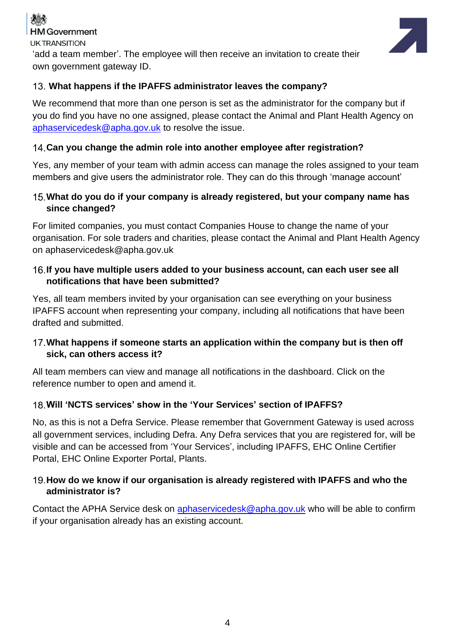

**UK TRANSITION** 

'add a team member'. The employee will then receive an invitation to create their own government gateway ID.

#### **What happens if the IPAFFS administrator leaves the company?**

We recommend that more than one person is set as the administrator for the company but if you do find you have no one assigned, please contact the Animal and Plant Health Agency on [aphaservicedesk@apha.gov.uk](mailto:aphaservicedesk@apha.gov.uk) to resolve the issue.

#### **Can you change the admin role into another employee after registration?**

Yes, any member of your team with admin access can manage the roles assigned to your team members and give users the administrator role. They can do this through 'manage account'

#### **What do you do if your company is already registered, but your company name has since changed?**

For limited companies, you must contact Companies House to change the name of your organisation. For sole traders and charities, please contact the Animal and Plant Health Agency on [aphaservicedesk@apha.gov.uk](mailto:aphaservicedesk@apha.gov.uk)

#### **If you have multiple users added to your business account, can each user see all notifications that have been submitted?**

Yes, all team members invited by your organisation can see everything on your business IPAFFS account when representing your company, including all notifications that have been drafted and submitted.

#### **What happens if someone starts an application within the company but is then off sick, can others access it?**

All team members can view and manage all notifications in the dashboard. Click on the reference number to open and amend it.

#### **Will 'NCTS services' show in the 'Your Services' section of IPAFFS?**

No, as this is not a Defra Service. Please remember that Government Gateway is used across all government services, including Defra. Any Defra services that you are registered for, will be visible and can be accessed from 'Your Services', including IPAFFS, EHC Online Certifier Portal, EHC Online Exporter Portal, Plants.

#### **How do we know if our organisation is already registered with IPAFFS and who the administrator is?**

Contact the APHA Service desk on [aphaservicedesk@apha.gov.uk](mailto:aphaservicedesk@apha.gov.uk) who will be able to confirm if your organisation already has an existing account.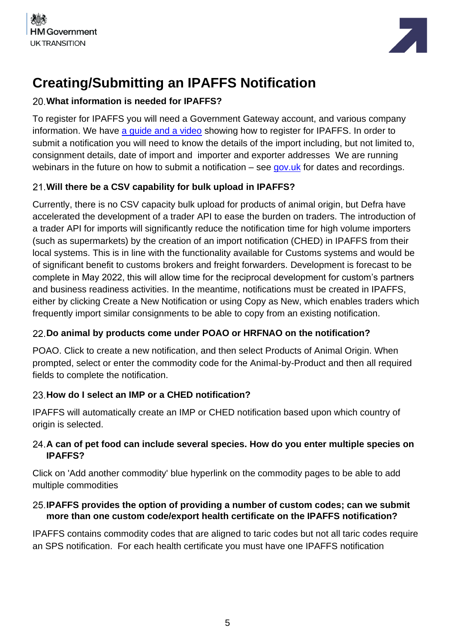



### **Creating/Submitting an IPAFFS Notification**

#### **What information is needed for IPAFFS?**

To register for IPAFFS you will need a Government Gateway account, and various company information. We have [a guide and a video](https://www.dropbox.com/scl/fi/nkg4nltxghurtqp9oncp3/Moving-Goods-from-the-European-Union-into-Great-Britain.-New-Requirements-from-October-2021.paper?dl=0&rlkey=xe77te92f6adbnez96b4h26s8) showing how to register for IPAFFS. In order to submit a notification you will need to know the details of the import including, but not limited to, consignment details, date of import and importer and exporter addresses We are running webinars in the future on how to submit a notification – see [gov.uk](https://www.gov.uk/guidance/webinars-for-importers-of-food-and-drink-products-from-the-eu-to-great-britain) for dates and recordings.

#### **Will there be a CSV capability for bulk upload in IPAFFS?**

Currently, there is no CSV capacity bulk upload for products of animal origin, but Defra have accelerated the development of a trader API to ease the burden on traders. The introduction of a trader API for imports will significantly reduce the notification time for high volume importers (such as supermarkets) by the creation of an import notification (CHED) in IPAFFS from their local systems. This is in line with the functionality available for Customs systems and would be of significant benefit to customs brokers and freight forwarders. Development is forecast to be complete in May 2022, this will allow time for the reciprocal development for custom's partners and business readiness activities. In the meantime, notifications must be created in IPAFFS, either by clicking Create a New Notification or using Copy as New, which enables traders which frequently import similar consignments to be able to copy from an existing notification.

#### **Do animal by products come under POAO or HRFNAO on the notification?**

POAO. Click to create a new notification, and then select Products of Animal Origin. When prompted, select or enter the commodity code for the Animal-by-Product and then all required fields to complete the notification.

#### **How do I select an IMP or a CHED notification?**

IPAFFS will automatically create an IMP or CHED notification based upon which country of origin is selected.

#### **A can of pet food can include several species. How do you enter multiple species on IPAFFS?**

Click on 'Add another commodity' blue hyperlink on the commodity pages to be able to add multiple commodities

#### **IPAFFS provides the option of providing a number of custom codes; can we submit more than one custom code/export health certificate on the IPAFFS notification?**

IPAFFS contains commodity codes that are aligned to taric codes but not all taric codes require an SPS notification. For each health certificate you must have one IPAFFS notification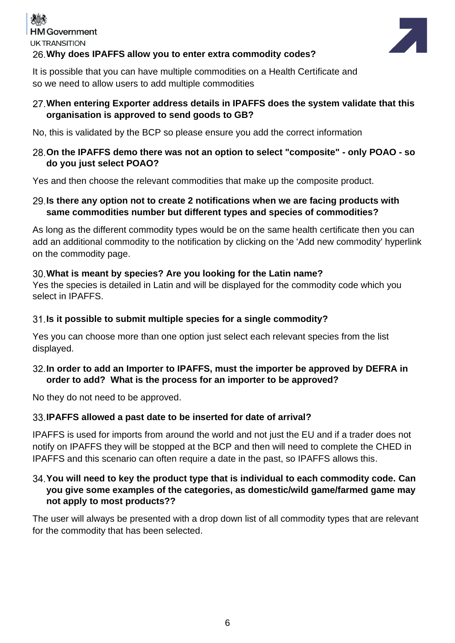### **HM Government UK TRANSITION Why does IPAFFS allow you to enter extra commodity codes?**



It is possible that you can have multiple commodities on a Health Certificate and so we need to allow users to add multiple commodities

#### **When entering Exporter address details in IPAFFS does the system validate that this organisation is approved to send goods to GB?**

No, this is validated by the BCP so please ensure you add the correct information

#### **On the IPAFFS demo there was not an option to select "composite" - only POAO - so do you just select POAO?**

Yes and then choose the relevant commodities that make up the composite product.

#### **Is there any option not to create 2 notifications when we are facing products with same commodities number but different types and species of commodities?**

As long as the different commodity types would be on the same health certificate then you can add an additional commodity to the notification by clicking on the 'Add new commodity' hyperlink on the commodity page.

#### **What is meant by species? Are you looking for the Latin name?**

Yes the species is detailed in Latin and will be displayed for the commodity code which you select in IPAFFS.

#### **Is it possible to submit multiple species for a single commodity?**

Yes you can choose more than one option just select each relevant species from the list displayed.

#### **In order to add an Importer to IPAFFS, must the importer be approved by DEFRA in order to add? What is the process for an importer to be approved?**

No they do not need to be approved.

#### **IPAFFS allowed a past date to be inserted for date of arrival?**

IPAFFS is used for imports from around the world and not just the EU and if a trader does not notify on IPAFFS they will be stopped at the BCP and then will need to complete the CHED in IPAFFS and this scenario can often require a date in the past, so IPAFFS allows this.

#### **You will need to key the product type that is individual to each commodity code. Can you give some examples of the categories, as domestic/wild game/farmed game may not apply to most products??**

The user will always be presented with a drop down list of all commodity types that are relevant for the commodity that has been selected.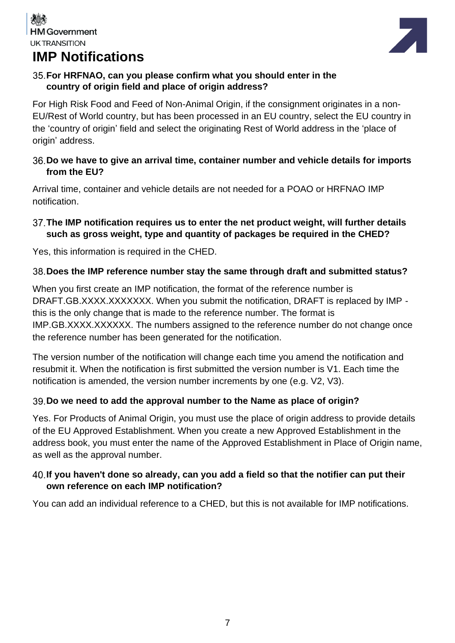## **IMP Notifications**



#### **For HRFNAO, can you please confirm what you should enter in the country of origin field and place of origin address?**

For High Risk Food and Feed of Non-Animal Origin, if the consignment originates in a non-EU/Rest of World country, but has been processed in an EU country, select the EU country in the 'country of origin' field and select the originating Rest of World address in the 'place of origin' address.

#### **Do we have to give an arrival time, container number and vehicle details for imports from the EU?**

Arrival time, container and vehicle details are not needed for a POAO or HRFNAO IMP notification.

#### **The IMP notification requires us to enter the net product weight, will further details such as gross weight, type and quantity of packages be required in the CHED?**

Yes, this information is required in the CHED.

#### **Does the IMP reference number stay the same through draft and submitted status?**

When you first create an IMP notification, the format of the reference number is DRAFT.GB.XXXX.XXXXXXX. When you submit the notification, DRAFT is replaced by IMP this is the only change that is made to the reference number. The format is IMP.GB.XXXX.XXXXXX. The numbers assigned to the reference number do not change once the reference number has been generated for the notification.

The version number of the notification will change each time you amend the notification and resubmit it. When the notification is first submitted the version number is V1. Each time the notification is amended, the version number increments by one (e.g. V2, V3).

#### **Do we need to add the approval number to the Name as place of origin?**

Yes. For Products of Animal Origin, you must use the place of origin address to provide details of the EU Approved Establishment. When you create a new Approved Establishment in the address book, you must enter the name of the Approved Establishment in Place of Origin name, as well as the approval number.

#### **If you haven't done so already, can you add a field so that the notifier can put their own reference on each IMP notification?**

You can add an individual reference to a CHED, but this is not available for IMP notifications.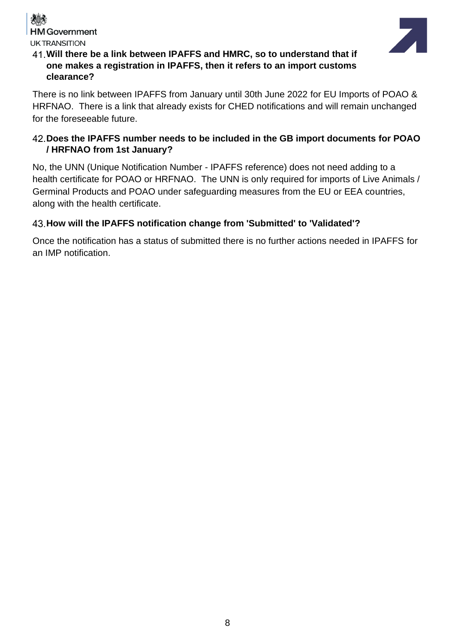



#### **Will there be a link between IPAFFS and HMRC, so to understand that if one makes a registration in IPAFFS, then it refers to an import customs clearance?**

There is no link between IPAFFS from January until 30th June 2022 for EU Imports of POAO & HRFNAO. There is a link that already exists for CHED notifications and will remain unchanged for the foreseeable future.

#### **Does the IPAFFS number needs to be included in the GB import documents for POAO / HRFNAO from 1st January?**

No, the UNN (Unique Notification Number - IPAFFS reference) does not need adding to a health certificate for POAO or HRFNAO. The UNN is only required for imports of Live Animals / Germinal Products and POAO under safeguarding measures from the EU or EEA countries, along with the health certificate.

#### **How will the IPAFFS notification change from 'Submitted' to 'Validated'?**

Once the notification has a status of submitted there is no further actions needed in IPAFFS for an IMP notification.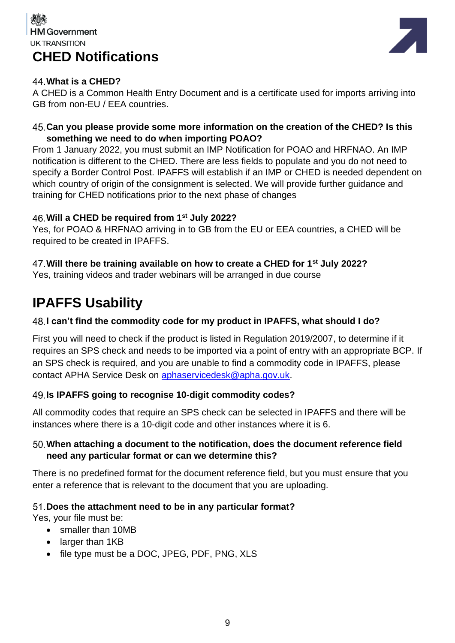### **HM Government UK TRANSITION CHED Notifications**



#### **What is a CHED?**

A CHED is a Common Health Entry Document and is a certificate used for imports arriving into GB from non-EU / EEA countries.

#### **Can you please provide some more information on the creation of the CHED? Is this something we need to do when importing POAO?**

From 1 January 2022, you must submit an IMP Notification for POAO and HRFNAO. An IMP notification is different to the CHED. There are less fields to populate and you do not need to specify a Border Control Post. IPAFFS will establish if an IMP or CHED is needed dependent on which country of origin of the consignment is selected. We will provide further guidance and training for CHED notifications prior to the next phase of changes

#### **Will a CHED be required from 1st July 2022?**

Yes, for POAO & HRFNAO arriving in to GB from the EU or EEA countries, a CHED will be required to be created in IPAFFS.

#### **Will there be training available on how to create a CHED for 1st July 2022?**

Yes, training videos and trader webinars will be arranged in due course

### **IPAFFS Usability**

#### **I can't find the commodity code for my product in IPAFFS, what should I do?**

First you will need to check if the product is listed in Regulation 2019/2007, to determine if it requires an SPS check and needs to be imported via a point of entry with an appropriate BCP. If an SPS check is required, and you are unable to find a commodity code in IPAFFS, please contact APHA Service Desk on [aphaservicedesk@apha.gov.uk.](mailto:aphaservicedesk@apha.gov.uk)

#### **Is IPAFFS going to recognise 10-digit commodity codes?**

All commodity codes that require an SPS check can be selected in IPAFFS and there will be instances where there is a 10-digit code and other instances where it is 6.

#### **When attaching a document to the notification, does the document reference field need any particular format or can we determine this?**

There is no predefined format for the document reference field, but you must ensure that you enter a reference that is relevant to the document that you are uploading.

#### **Does the attachment need to be in any particular format?**

Yes, your file must be:

- smaller than 10MB
- larger than 1KB
- file type must be a DOC, JPEG, PDF, PNG, XLS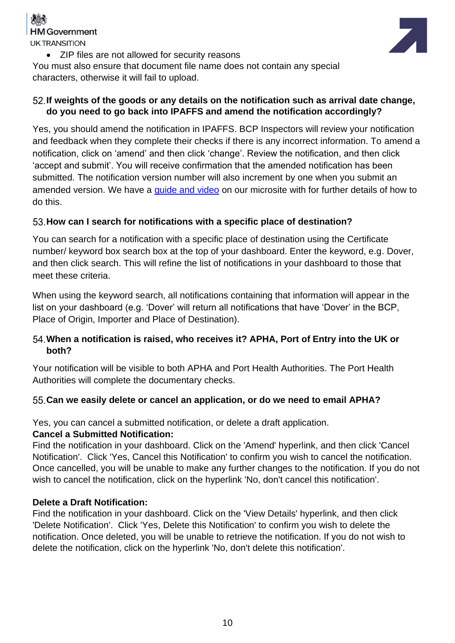

• ZIP files are not allowed for security reasons

You must also ensure that document file name does not contain any special characters, otherwise it will fail to upload.

#### **If weights of the goods or any details on the notification such as arrival date change, do you need to go back into IPAFFS and amend the notification accordingly?**

Yes, you should amend the notification in IPAFFS. BCP Inspectors will review your notification and feedback when they complete their checks if there is any incorrect information. To amend a notification, click on 'amend' and then click 'change'. Review the notification, and then click 'accept and submit'. You will receive confirmation that the amended notification has been submitted. The notification version number will also increment by one when you submit an amended version. We have a quide and video on our microsite with for further details of how to do this.

#### **How can I search for notifications with a specific place of destination?**

You can search for a notification with a specific place of destination using the Certificate number/ keyword box search box at the top of your dashboard. Enter the keyword, e.g. Dover, and then click search. This will refine the list of notifications in your dashboard to those that meet these criteria.

When using the keyword search, all notifications containing that information will appear in the list on your dashboard (e.g. 'Dover' will return all notifications that have 'Dover' in the BCP, Place of Origin, Importer and Place of Destination).

#### **When a notification is raised, who receives it? APHA, Port of Entry into the UK or both?**

Your notification will be visible to both APHA and Port Health Authorities. The Port Health Authorities will complete the documentary checks.

#### **Can we easily delete or cancel an application, or do we need to email APHA?**

Yes, you can cancel a submitted notification, or delete a draft application.

#### **Cancel a Submitted Notification:**

Find the notification in your dashboard. Click on the 'Amend' hyperlink, and then click 'Cancel Notification'. Click 'Yes, Cancel this Notification' to confirm you wish to cancel the notification. Once cancelled, you will be unable to make any further changes to the notification. If you do not wish to cancel the notification, click on the hyperlink 'No, don't cancel this notification'.

#### **Delete a Draft Notification:**

Find the notification in your dashboard. Click on the 'View Details' hyperlink, and then click 'Delete Notification'. Click 'Yes, Delete this Notification' to confirm you wish to delete the notification. Once deleted, you will be unable to retrieve the notification. If you do not wish to delete the notification, click on the hyperlink 'No, don't delete this notification'.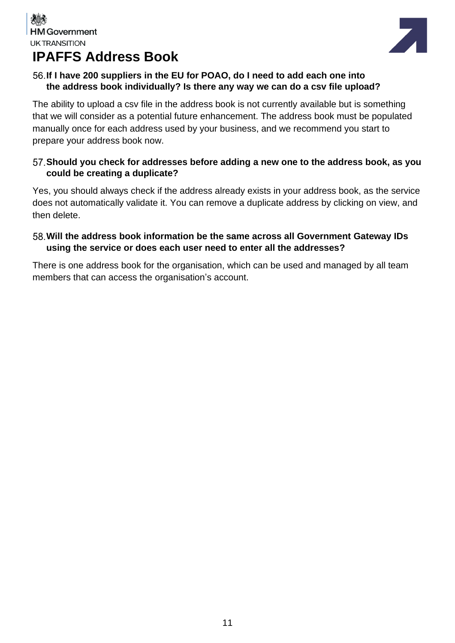

# **IPAFFS Address Book**

#### **If I have 200 suppliers in the EU for POAO, do I need to add each one into the address book individually? Is there any way we can do a csv file upload?**

The ability to upload a csv file in the address book is not currently available but is something that we will consider as a potential future enhancement. The address book must be populated manually once for each address used by your business, and we recommend you start to prepare your address book now.

#### **Should you check for addresses before adding a new one to the address book, as you could be creating a duplicate?**

Yes, you should always check if the address already exists in your address book, as the service does not automatically validate it. You can remove a duplicate address by clicking on view, and then delete.

#### **Will the address book information be the same across all Government Gateway IDs using the service or does each user need to enter all the addresses?**

There is one address book for the organisation, which can be used and managed by all team members that can access the organisation's account.